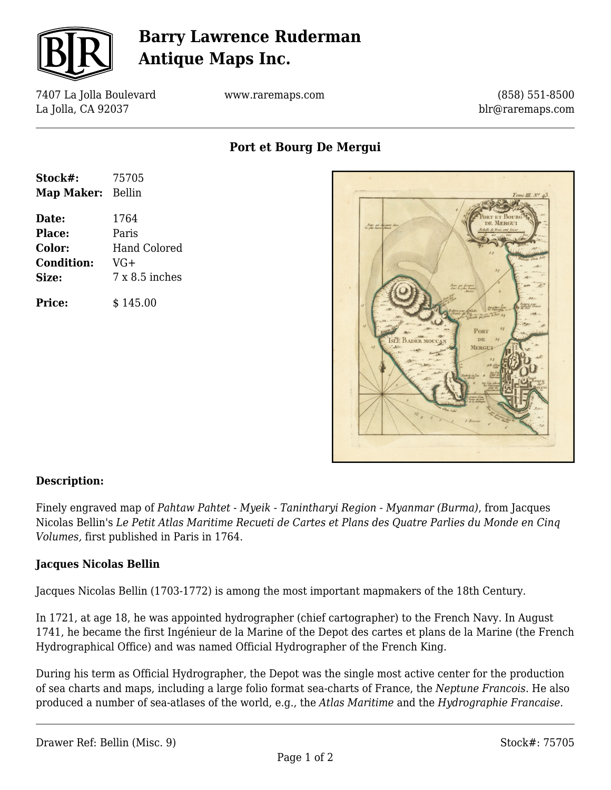

# **Barry Lawrence Ruderman Antique Maps Inc.**

7407 La Jolla Boulevard La Jolla, CA 92037

www.raremaps.com

(858) 551-8500 blr@raremaps.com

**Port et Bourg De Mergui**

| Stock#:           | 75705               |
|-------------------|---------------------|
| Map Maker: Bellin |                     |
| Date:             | 1764                |
| <b>Place:</b>     | Paris               |
| Color:            | <b>Hand Colored</b> |
| <b>Condition:</b> | VG+                 |
| Size:             | $7x8.5$ inches      |
| <b>Price:</b>     | \$145.00            |



### **Description:**

Finely engraved map of *Pahtaw Pahtet - Myeik - Tanintharyi Region - Myanmar (Burma)*, from Jacques Nicolas Bellin's *Le Petit Atlas Maritime Recueti de Cartes et Plans des Quatre Parlies du Monde en Cinq Volumes,* first published in Paris in 1764.

### **Jacques Nicolas Bellin**

Jacques Nicolas Bellin (1703-1772) is among the most important mapmakers of the 18th Century.

In 1721, at age 18, he was appointed hydrographer (chief cartographer) to the French Navy. In August 1741, he became the first Ingénieur de la Marine of the Depot des cartes et plans de la Marine (the French Hydrographical Office) and was named Official Hydrographer of the French King.

During his term as Official Hydrographer, the Depot was the single most active center for the production of sea charts and maps, including a large folio format sea-charts of France, the *Neptune Francois*. He also produced a number of sea-atlases of the world, e.g., the *Atlas Maritime* and the *Hydrographie Francaise*.